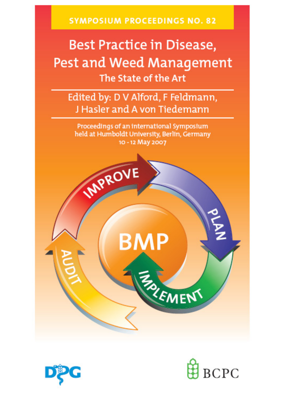**SYMPOSIUM PROCEEDINGS NO. 82** 

# **Best Practice in Disease,** Pest and Weed Management The State of the Art

Edited by: D V Alford, F Feldmann, J Hasler and A von Tiedemann

Proceedings of an international Symposium held at Humboldt University, Berlin, Germany 10 - 12 May 2007





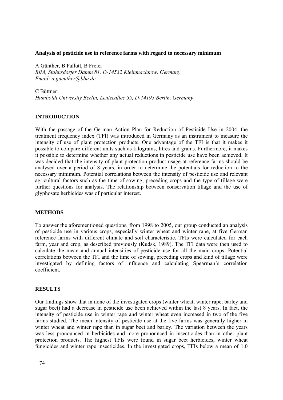#### **Analysis of pesticide use in reference farms with regard to necessary minimum**

A Günther, B Pallutt, B Freier *BBA, Stahnsdorfer Damm 81, D-14532 Kleinmachnow, Germany Email: a.guenther@bba.de* 

C Büttner *Humboldt University Berlin, Lentzeallee 55, D-14195 Berlin, Germany* 

## **INTRODUCTION**

With the passage of the German Action Plan for Reduction of Pesticide Use in 2004, the treatment frequency index (TFI) was introduced in Germany as an instrument to measure the intensity of use of plant protection products. One advantage of the TFI is that it makes it possible to compare different units such as kilograms, litres and grams. Furthermore, it makes it possible to determine whether any actual reductions in pesticide use have been achieved. It was decided that the intensity of plant protection product usage at reference farms should be analysed over a period of 8 years, in order to determine the potentials for reduction to the necessary minimum. Potential correlations between the intensity of pesticide use and relevant agricultural factors such as the time of sowing, preceding crops and the type of tillage were further questions for analysis. The relationship between conservation tillage and the use of glyphosate herbicides was of particular interest.

### **METHODS**

To answer the aforementioned questions, from 1998 to 2005, our group conducted an analysis of pesticide use in various crops, especially winter wheat and winter rape, at five German reference farms with different climate and soil characteristic. TFIs were calculated for each farm, year and crop, as described previously (Kudsk, 1989). The TFI data were then used to calculate the mean and annual intensities of pesticide use for all the main crops. Potential correlations between the TFI and the time of sowing, preceding crops and kind of tillage were investigated by defining factors of influence and calculating Spearman's correlation coefficient.

## **RESULTS**

Our findings show that in none of the investigated crops (winter wheat, winter rape, barley and sugar beet) had a decrease in pesticide use been achieved within the last 8 years. In fact, the intensity of pesticide use in winter rape and winter wheat even increased in two of the five farms studied. The mean intensity of pesticide use at the five farms was generally higher in winter wheat and winter rape than in sugar beet and barley. The variation between the years was less pronounced in herbicides and more pronounced in insecticides than in other plant protection products. The highest TFIs were found in sugar beet herbicides, winter wheat fungicides and winter rape insecticides. In the investigated crops, TFIs below a mean of 1.0